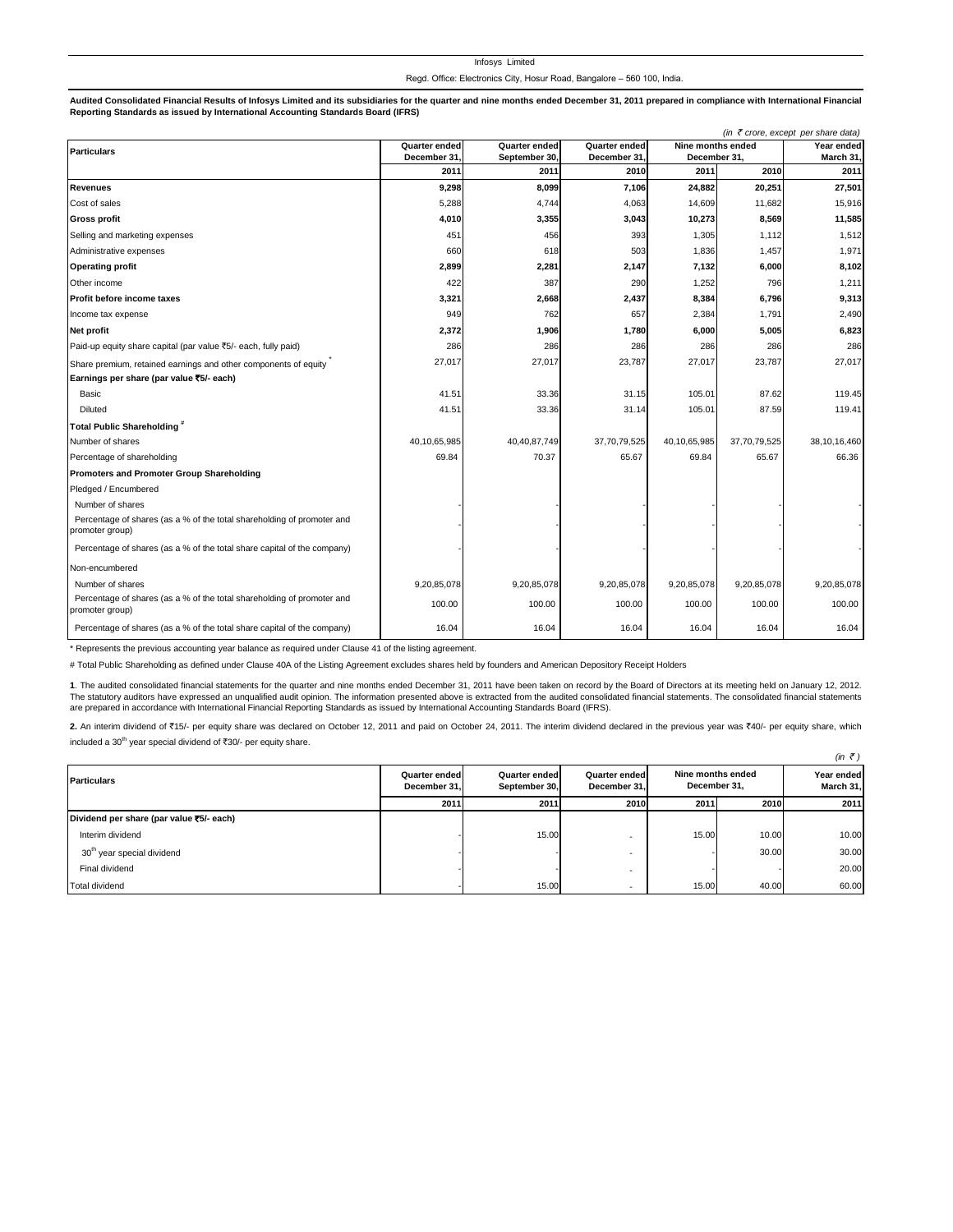|  | THOSYS LIMITED |  |                                                                         |  |  |
|--|----------------|--|-------------------------------------------------------------------------|--|--|
|  |                |  | Regd. Office: Electronics City, Hosur Road, Bangalore - 560 100, India. |  |  |

Infosys Limited

Audited Consolidated Financial Results of Infosys Limited and its subsidiaries for the quarter and nine months ended December 31, 2011 prepared in compliance with International Financial **Reporting Standards as issued by International Accounting Standards Board (IFRS)**

| (in ₹ crore, except per share data)                                                       |               |                      |               |                   |              |              |  |  |
|-------------------------------------------------------------------------------------------|---------------|----------------------|---------------|-------------------|--------------|--------------|--|--|
| <b>Particulars</b>                                                                        | Quarter ended | <b>Quarter ended</b> | Quarter ended | Nine months ended |              | Year ended   |  |  |
|                                                                                           | December 31   | September 30.        | December 31   | December 31.      |              | March 31,    |  |  |
|                                                                                           | 2011          | 2011                 | 2010          | 2011              | 2010         | 2011         |  |  |
| <b>Revenues</b>                                                                           | 9,298         | 8,099                | 7,106         | 24,882            | 20,251       | 27,501       |  |  |
| Cost of sales                                                                             | 5,288         | 4,744                | 4,063         | 14,609            | 11,682       | 15,916       |  |  |
| <b>Gross profit</b>                                                                       | 4,010         | 3,355                | 3,043         | 10,273            | 8,569        | 11,585       |  |  |
| Selling and marketing expenses                                                            | 451           | 456                  | 393           | 1,305             | 1,112        | 1,512        |  |  |
| Administrative expenses                                                                   | 660           | 618                  | 503           | 1,836             | 1,457        | 1,971        |  |  |
| <b>Operating profit</b>                                                                   | 2,899         | 2,281                | 2,147         | 7,132             | 6,000        | 8,102        |  |  |
| Other income                                                                              | 422           | 387                  | 290           | 1,252             | 796          | 1,211        |  |  |
| Profit before income taxes                                                                | 3,321         | 2,668                | 2,437         | 8,384             | 6,796        | 9,313        |  |  |
| Income tax expense                                                                        | 949           | 762                  | 657           | 2,384             | 1,791        | 2,490        |  |  |
| Net profit                                                                                | 2,372         | 1,906                | 1,780         | 6,000             | 5,005        | 6,823        |  |  |
| Paid-up equity share capital (par value ₹5/- each, fully paid)                            | 286           | 286                  | 286           | 286               | 286          | 286          |  |  |
| Share premium, retained earnings and other components of equity                           | 27,017        | 27,017               | 23,787        | 27,017            | 23,787       | 27,017       |  |  |
| Earnings per share (par value ₹5/- each)                                                  |               |                      |               |                   |              |              |  |  |
| Basic                                                                                     | 41.51         | 33.36                | 31.15         | 105.01            | 87.62        | 119.45       |  |  |
| <b>Diluted</b>                                                                            | 41.51         | 33.36                | 31.14         | 105.01            | 87.59        | 119.41       |  |  |
| Total Public Shareholding"                                                                |               |                      |               |                   |              |              |  |  |
| Number of shares                                                                          | 40,10,65,985  | 40,40,87,749         | 37,70,79,525  | 40,10,65,985      | 37,70,79,525 | 38,10,16,460 |  |  |
| Percentage of shareholding                                                                | 69.84         | 70.37                | 65.67         | 69.84             | 65.67        | 66.36        |  |  |
| Promoters and Promoter Group Shareholding                                                 |               |                      |               |                   |              |              |  |  |
| Pledged / Encumbered                                                                      |               |                      |               |                   |              |              |  |  |
| Number of shares                                                                          |               |                      |               |                   |              |              |  |  |
| Percentage of shares (as a % of the total shareholding of promoter and<br>promoter group) |               |                      |               |                   |              |              |  |  |
| Percentage of shares (as a % of the total share capital of the company)                   |               |                      |               |                   |              |              |  |  |
| Non-encumbered                                                                            |               |                      |               |                   |              |              |  |  |
| Number of shares                                                                          | 9,20,85,078   | 9,20,85,078          | 9,20,85,078   | 9,20,85,078       | 9,20,85,078  | 9,20,85,078  |  |  |
| Percentage of shares (as a % of the total shareholding of promoter and<br>promoter group) | 100.00        | 100.00               | 100.00        | 100.00            | 100.00       | 100.00       |  |  |
| Percentage of shares (as a % of the total share capital of the company)                   | 16.04         | 16.04                | 16.04         | 16.04             | 16.04        | 16.04        |  |  |

\* Represents the previous accounting year balance as required under Clause 41 of the listing agreement.

# Total Public Shareholding as defined under Clause 40A of the Listing Agreement excludes shares held by founders and American Depository Receipt Holders

**1**. The audited consolidated financial statements for the quarter and nine months ended December 31, 2011 have been taken on record by the Board of Directors at its meeting held on January 12, 2012. The statutory auditors have expressed an unqualified audit opinion. The information presented above is extracted from the audited consolidated financial statements. The consolidated financial statements are prepared in accordance with International Financial Reporting Standards as issued by International Accounting Standards Board (IFRS).

2. An interim dividend of ₹15/- per equity share was declared on October 12, 2011 and paid on October 24, 2011. The interim dividend declared in the previous year was ₹40/- per equity share, which included a  $30^{th}$  year special dividend of  $\overline{3}30/$ - per equity share.

|                                          |                               |                                |                               |                                   |       | $(in \; \bar{\mathcal{F}})$ |
|------------------------------------------|-------------------------------|--------------------------------|-------------------------------|-----------------------------------|-------|-----------------------------|
| <b>Particulars</b>                       | Quarter ended<br>December 31. | Quarter ended<br>September 30, | Quarter ended<br>December 31. | Nine months ended<br>December 31, |       | Year ended<br>March 31,     |
|                                          | 2011                          | 2011                           | 2010                          | 2011                              | 2010  | 2011                        |
| Dividend per share (par value ₹5/- each) |                               |                                |                               |                                   |       |                             |
| Interim dividend                         |                               | 15.00                          |                               | 15.00                             | 10.00 | 10.00                       |
| 30 <sup>th</sup> year special dividend   |                               |                                |                               |                                   | 30.00 | 30.00                       |
| Final dividend                           |                               |                                | $\overline{\phantom{a}}$      |                                   |       | 20.00                       |
| <b>Total dividend</b>                    |                               | 15.00                          |                               | 15.00                             | 40.00 | 60.00                       |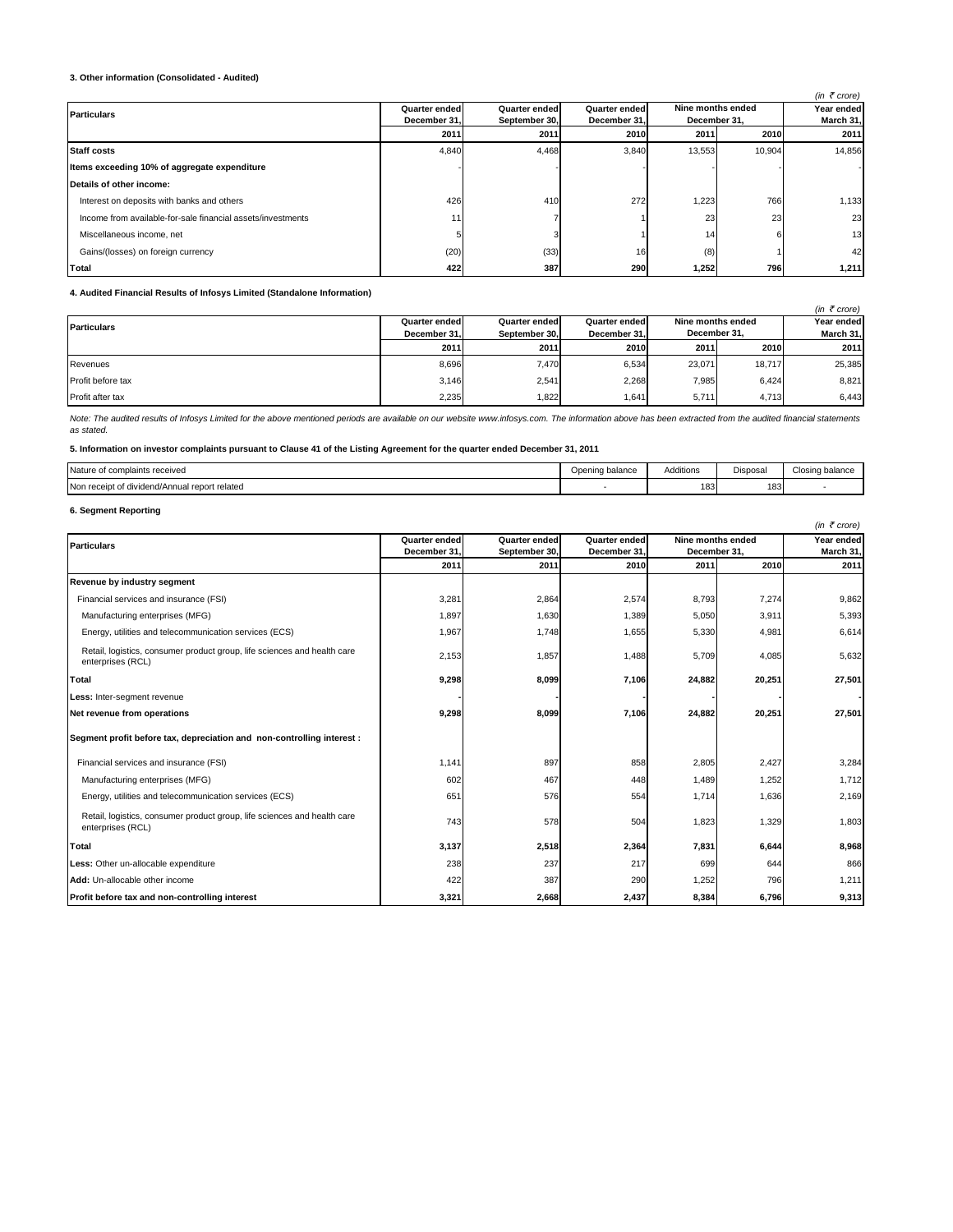## **3. Other information (Consolidated - Audited)**

|                                                             |               |               |                      |                   |        | (in $\bar{\tau}$ crore) |
|-------------------------------------------------------------|---------------|---------------|----------------------|-------------------|--------|-------------------------|
| <b>Particulars</b>                                          | Quarter ended | Quarter ended | <b>Quarter ended</b> | Nine months ended |        | Year ended              |
|                                                             | December 31.  | September 30. | December 31.         | December 31.      |        | March 31,               |
|                                                             | 2011          | 2011          | 2010                 | 2011              | 2010   | 2011                    |
| <b>Staff costs</b>                                          | 4,840         | 4,468         | 3,840                | 13,553            | 10,904 | 14,856                  |
| Items exceeding 10% of aggregate expenditure                |               |               |                      |                   |        |                         |
| Details of other income:                                    |               |               |                      |                   |        |                         |
| Interest on deposits with banks and others                  | 426           | 410           | 272                  | 1,223             | 766    | 1,133                   |
| Income from available-for-sale financial assets/investments | 11            |               |                      | 23                | 23     | 23                      |
| Miscellaneous income, net                                   |               |               |                      | 14                | 6      | 13                      |
| Gains/(losses) on foreign currency                          | (20)          | (33)          | 16                   | (8)               |        | 42                      |
| Total                                                       | 422           | 387           | 290                  | 1,252             | 796    | 1,211                   |

**4. Audited Financial Results of Infosys Limited (Standalone Information)**

|                    |                      |               |               |                   |              | (in $\bar{\tau}$ crore) |
|--------------------|----------------------|---------------|---------------|-------------------|--------------|-------------------------|
| <b>Particulars</b> | <b>Quarter ended</b> | Quarter ended | Quarter ended | Nine months ended | Year ended   |                         |
|                    | December 31.         | September 30. | December 31.  |                   | December 31. |                         |
|                    | 2011                 | 2011          | 2010          | 2011              | 2010         | 2011                    |
| Revenues           | 8.696                | 7.470         | 6,534         | 23.071            | 18.717       | 25,385                  |
| Profit before tax  | 3.146                | 2,541         | 2,268         | 7,985             | 6.424        | 8,821                   |
| Profit after tax   | 2,235                | 1,822         | 1,641         | 5,711             | 4,713        | 6,443                   |

Note: The audited results of Infosys Limited for the above mentioned periods are available on our website www.infosys.com. The information above has been extracted from the audited financial statements *as stated.* 

## **5. Information on investor complaints pursuant to Clause 41 of the Listing Agreement for the quarter ended December 31, 2011**

| Nature<br>of complaints received                   | Opening balance | Additions | $\sim$<br>Disposa | Closing balance |
|----------------------------------------------------|-----------------|-----------|-------------------|-----------------|
| Non receipt of o<br>dividend/Annual report related |                 | 183       | 183               |                 |

# **6. Segment Reporting**

|                                                                                               |               |               |               |                   |        | (in $\bar{\tau}$ crore) |  |
|-----------------------------------------------------------------------------------------------|---------------|---------------|---------------|-------------------|--------|-------------------------|--|
| <b>Particulars</b>                                                                            | Quarter ended | Quarter ended | Quarter ended | Nine months ended |        | Year ended              |  |
|                                                                                               | December 31,  | September 30. | December 31   | December 31,      |        | March 31,               |  |
|                                                                                               | 2011          | 2011          | 2010          | 2011              | 2010   | 2011                    |  |
| Revenue by industry segment                                                                   |               |               |               |                   |        |                         |  |
| Financial services and insurance (FSI)                                                        | 3,281         | 2,864         | 2,574         | 8,793             | 7,274  | 9,862                   |  |
| Manufacturing enterprises (MFG)                                                               | 1,897         | 1,630         | 1,389         | 5,050             | 3,911  | 5,393                   |  |
| Energy, utilities and telecommunication services (ECS)                                        | 1,967         | 1,748         | 1,655         | 5,330             | 4,981  | 6,614                   |  |
| Retail, logistics, consumer product group, life sciences and health care<br>enterprises (RCL) | 2,153         | 1,857         | 1,488         | 5,709             | 4,085  | 5,632                   |  |
| Total                                                                                         | 9,298         | 8,099         | 7,106         | 24,882            | 20,251 | 27,501                  |  |
| Less: Inter-segment revenue                                                                   |               |               |               |                   |        |                         |  |
| Net revenue from operations                                                                   | 9,298         | 8,099         | 7,106         | 24,882            | 20,251 | 27,501                  |  |
| Segment profit before tax, depreciation and non-controlling interest :                        |               |               |               |                   |        |                         |  |
| Financial services and insurance (FSI)                                                        | 1,141         | 897           | 858           | 2,805             | 2,427  | 3,284                   |  |
| Manufacturing enterprises (MFG)                                                               | 602           | 467           | 448           | 1,489             | 1,252  | 1,712                   |  |
| Energy, utilities and telecommunication services (ECS)                                        | 651           | 576           | 554           | 1,714             | 1,636  | 2,169                   |  |
| Retail, logistics, consumer product group, life sciences and health care<br>enterprises (RCL) | 743           | 578           | 504           | 1,823             | 1,329  | 1,803                   |  |
| Total                                                                                         | 3,137         | 2,518         | 2,364         | 7,831             | 6,644  | 8,968                   |  |
| Less: Other un-allocable expenditure                                                          | 238           | 237           | 217           | 699               | 644    | 866                     |  |
| Add: Un-allocable other income                                                                | 422           | 387           | 290           | 1,252             | 796    | 1,211                   |  |
| Profit before tax and non-controlling interest                                                | 3,321         | 2,668         | 2,437         | 8,384             | 6,796  | 9,313                   |  |